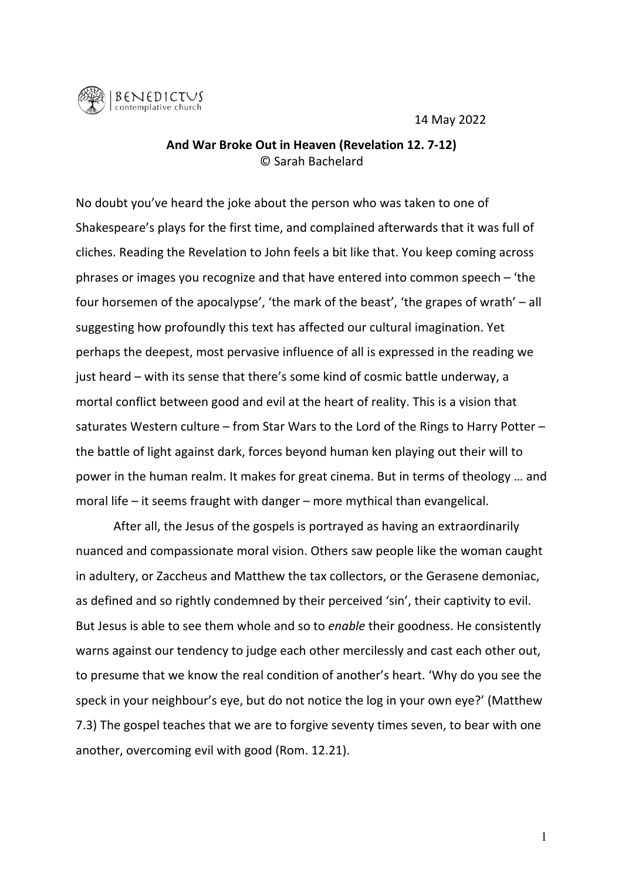14 May 2022



## And War Broke Out in Heaven (Revelation 12. 7-12) © Sarah Bachelard

No doubt you've heard the joke about the person who was taken to one of Shakespeare's plays for the first time, and complained afterwards that it was full of cliches. Reading the Revelation to John feels a bit like that. You keep coming across phrases or images you recognize and that have entered into common speech  $-$  'the four horsemen of the apocalypse', 'the mark of the beast', 'the grapes of wrath' – all suggesting how profoundly this text has affected our cultural imagination. Yet perhaps the deepest, most pervasive influence of all is expressed in the reading we just heard – with its sense that there's some kind of cosmic battle underway, a mortal conflict between good and evil at the heart of reality. This is a vision that saturates Western culture – from Star Wars to the Lord of the Rings to Harry Potter – the battle of light against dark, forces beyond human ken playing out their will to power in the human realm. It makes for great cinema. But in terms of theology ... and moral life – it seems fraught with danger – more mythical than evangelical.

After all, the Jesus of the gospels is portrayed as having an extraordinarily nuanced and compassionate moral vision. Others saw people like the woman caught in adultery, or Zaccheus and Matthew the tax collectors, or the Gerasene demoniac, as defined and so rightly condemned by their perceived 'sin', their captivity to evil. But Jesus is able to see them whole and so to *enable* their goodness. He consistently warns against our tendency to judge each other mercilessly and cast each other out, to presume that we know the real condition of another's heart. 'Why do you see the speck in your neighbour's eye, but do not notice the log in your own eye?' (Matthew 7.3) The gospel teaches that we are to forgive seventy times seven, to bear with one another, overcoming evil with good (Rom. 12.21).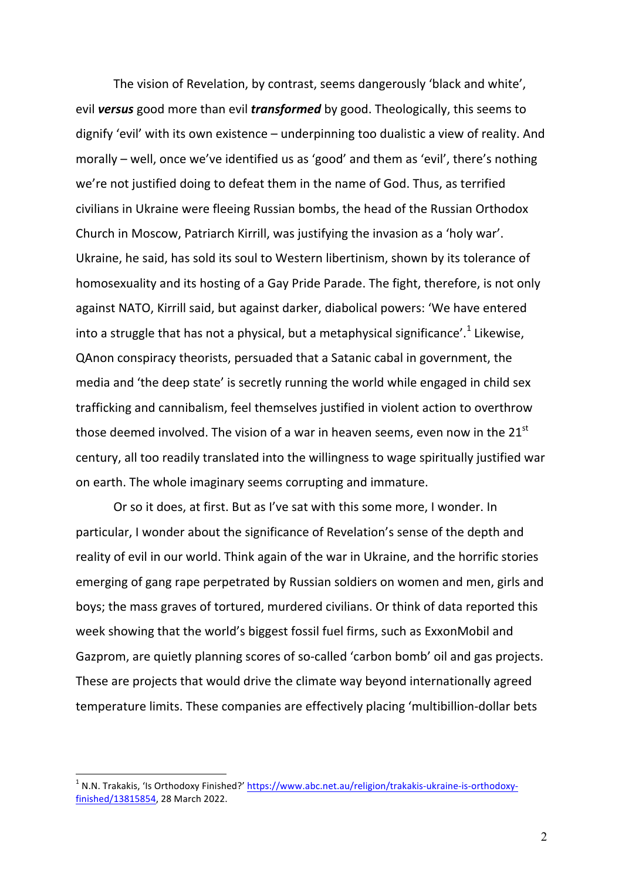The vision of Revelation, by contrast, seems dangerously 'black and white', evil **versus** good more than evil *transformed* by good. Theologically, this seems to dignify 'evil' with its own existence  $-$  underpinning too dualistic a view of reality. And morally – well, once we've identified us as 'good' and them as 'evil', there's nothing we're not justified doing to defeat them in the name of God. Thus, as terrified civilians in Ukraine were fleeing Russian bombs, the head of the Russian Orthodox Church in Moscow, Patriarch Kirrill, was justifying the invasion as a 'holy war'. Ukraine, he said, has sold its soul to Western libertinism, shown by its tolerance of homosexuality and its hosting of a Gay Pride Parade. The fight, therefore, is not only against NATO, Kirrill said, but against darker, diabolical powers: 'We have entered into a struggle that has not a physical, but a metaphysical significance'.<sup>1</sup> Likewise, QAnon conspiracy theorists, persuaded that a Satanic cabal in government, the media and 'the deep state' is secretly running the world while engaged in child sex trafficking and cannibalism, feel themselves justified in violent action to overthrow those deemed involved. The vision of a war in heaven seems, even now in the  $21^{st}$ century, all too readily translated into the willingness to wage spiritually justified war on earth. The whole imaginary seems corrupting and immature.

Or so it does, at first. But as I've sat with this some more, I wonder. In particular, I wonder about the significance of Revelation's sense of the depth and reality of evil in our world. Think again of the war in Ukraine, and the horrific stories emerging of gang rape perpetrated by Russian soldiers on women and men, girls and boys; the mass graves of tortured, murdered civilians. Or think of data reported this week showing that the world's biggest fossil fuel firms, such as ExxonMobil and Gazprom, are quietly planning scores of so-called 'carbon bomb' oil and gas projects. These are projects that would drive the climate way beyond internationally agreed temperature limits. These companies are effectively placing 'multibillion-dollar bets

N.N. Trakakis, 'Is Orthodoxy Finished?' https://www.abc.net.au/religion/trakakis-ukraine-is-orthodoxyfinished/13815854, 28 March 2022.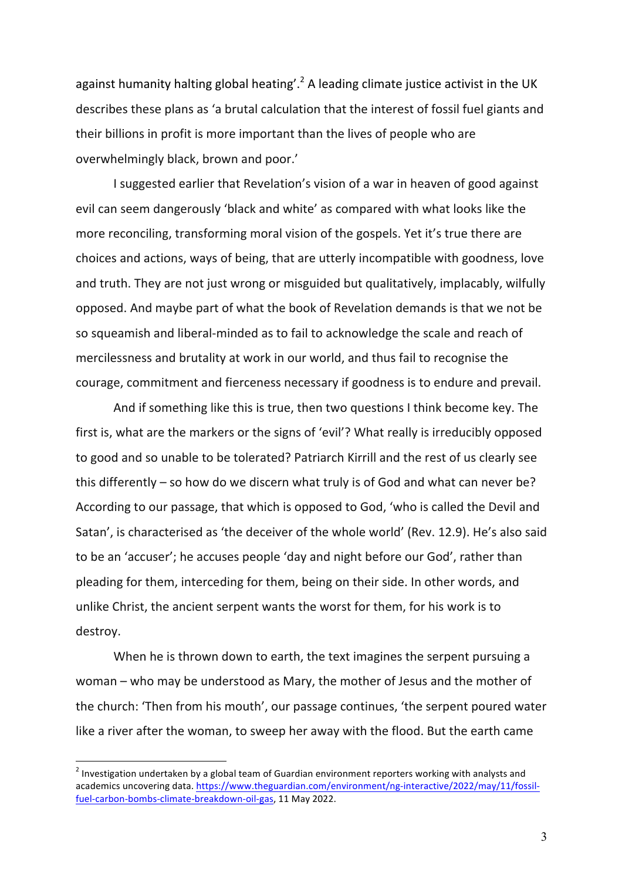against humanity halting global heating'.<sup>2</sup> A leading climate justice activist in the UK describes these plans as 'a brutal calculation that the interest of fossil fuel giants and their billions in profit is more important than the lives of people who are overwhelmingly black, brown and poor.'

I suggested earlier that Revelation's vision of a war in heaven of good against evil can seem dangerously 'black and white' as compared with what looks like the more reconciling, transforming moral vision of the gospels. Yet it's true there are choices and actions, ways of being, that are utterly incompatible with goodness, love and truth. They are not just wrong or misguided but qualitatively, implacably, wilfully opposed. And maybe part of what the book of Revelation demands is that we not be so squeamish and liberal-minded as to fail to acknowledge the scale and reach of mercilessness and brutality at work in our world, and thus fail to recognise the courage, commitment and fierceness necessary if goodness is to endure and prevail.

And if something like this is true, then two questions I think become key. The first is, what are the markers or the signs of 'evil'? What really is irreducibly opposed to good and so unable to be tolerated? Patriarch Kirrill and the rest of us clearly see this differently – so how do we discern what truly is of God and what can never be? According to our passage, that which is opposed to God, 'who is called the Devil and Satan', is characterised as 'the deceiver of the whole world' (Rev. 12.9). He's also said to be an 'accuser'; he accuses people 'day and night before our God', rather than pleading for them, interceding for them, being on their side. In other words, and unlike Christ, the ancient serpent wants the worst for them, for his work is to destroy. 

When he is thrown down to earth, the text imagines the serpent pursuing a woman – who may be understood as Mary, the mother of Jesus and the mother of the church: 'Then from his mouth', our passage continues, 'the serpent poured water like a river after the woman, to sweep her away with the flood. But the earth came

<sup>&</sup>lt;sup>2</sup> Investigation undertaken by a global team of Guardian environment reporters working with analysts and academics uncovering data. https://www.theguardian.com/environment/ng-interactive/2022/may/11/fossilfuel-carbon-bombs-climate-breakdown-oil-gas, 11 May 2022.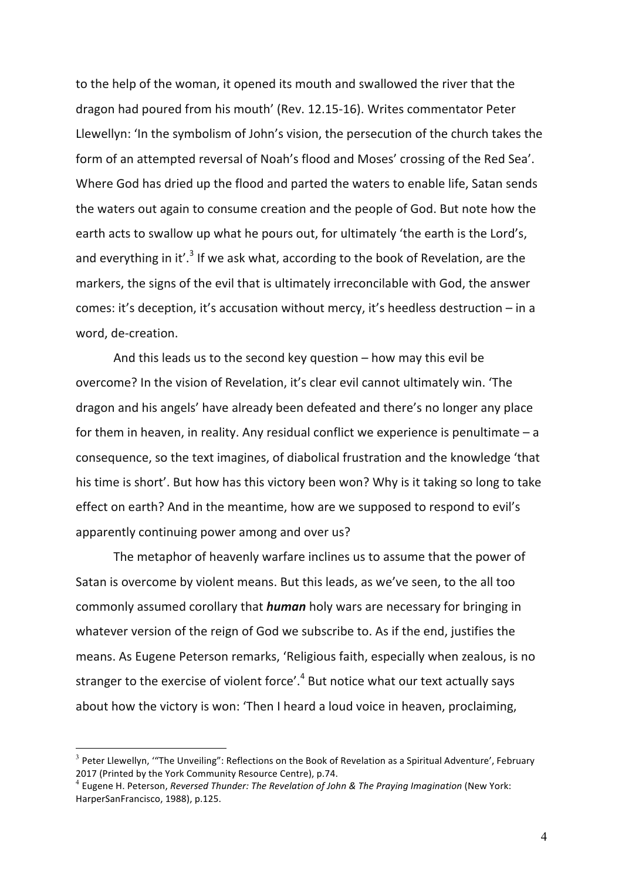to the help of the woman, it opened its mouth and swallowed the river that the dragon had poured from his mouth' (Rev. 12.15-16). Writes commentator Peter Llewellyn: 'In the symbolism of John's vision, the persecution of the church takes the form of an attempted reversal of Noah's flood and Moses' crossing of the Red Sea'. Where God has dried up the flood and parted the waters to enable life, Satan sends the waters out again to consume creation and the people of God. But note how the earth acts to swallow up what he pours out, for ultimately 'the earth is the Lord's, and everything in it'.<sup>3</sup> If we ask what, according to the book of Revelation, are the markers, the signs of the evil that is ultimately irreconcilable with God, the answer comes: it's deception, it's accusation without mercy, it's heedless destruction  $-$  in a word, de-creation.

And this leads us to the second key question  $-$  how may this evil be overcome? In the vision of Revelation, it's clear evil cannot ultimately win. 'The dragon and his angels' have already been defeated and there's no longer any place for them in heaven, in reality. Any residual conflict we experience is penultimate  $-$  a consequence, so the text imagines, of diabolical frustration and the knowledge 'that his time is short'. But how has this victory been won? Why is it taking so long to take effect on earth? And in the meantime, how are we supposed to respond to evil's apparently continuing power among and over us?

The metaphor of heavenly warfare inclines us to assume that the power of Satan is overcome by violent means. But this leads, as we've seen, to the all too commonly assumed corollary that *human* holy wars are necessary for bringing in whatever version of the reign of God we subscribe to. As if the end, justifies the means. As Eugene Peterson remarks, 'Religious faith, especially when zealous, is no stranger to the exercise of violent force'.<sup>4</sup> But notice what our text actually says about how the victory is won: 'Then I heard a loud voice in heaven, proclaiming,

 $3$  Peter Llewellyn, "The Unveiling": Reflections on the Book of Revelation as a Spiritual Adventure', February 2017 (Printed by the York Community Resource Centre), p.74.

<sup>&</sup>lt;sup>4</sup> Eugene H. Peterson, *Reversed Thunder: The Revelation of John & The Praying Imagination* (New York: HarperSanFrancisco, 1988), p.125.